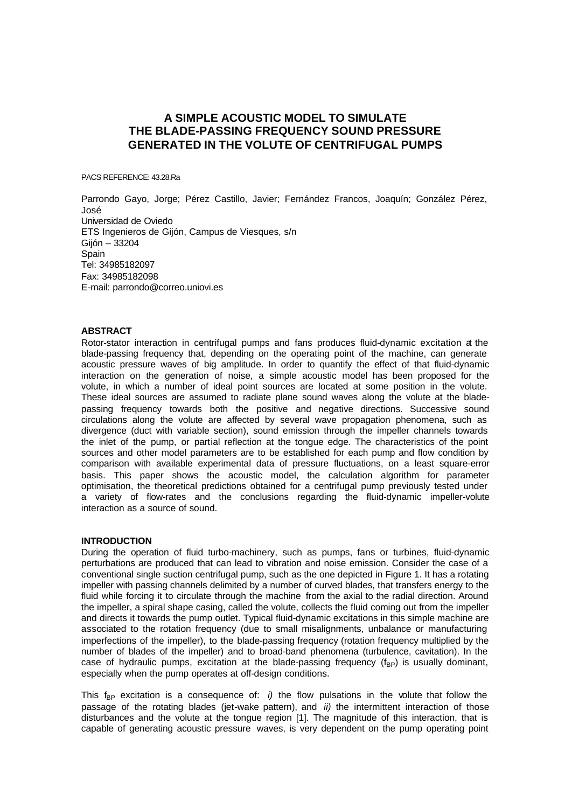# **A SIMPLE ACOUSTIC MODEL TO SIMULATE THE BLADE-PASSING FREQUENCY SOUND PRESSURE GENERATED IN THE VOLUTE OF CENTRIFUGAL PUMPS**

PACS REFERENCE: 43.28.Ra

Parrondo Gayo, Jorge; Pérez Castillo, Javier; Fernández Francos, Joaquín; González Pérez, José Universidad de Oviedo ETS Ingenieros de Gijón, Campus de Viesques, s/n Gijón – 33204 **Spain** Tel: 34985182097 Fax: 34985182098 E-mail: parrondo@correo.uniovi.es

#### **ABSTRACT**

Rotor-stator interaction in centrifugal pumps and fans produces fluid-dynamic excitation at the blade-passing frequency that, depending on the operating point of the machine, can generate acoustic pressure waves of big amplitude. In order to quantify the effect of that fluid-dynamic interaction on the generation of noise, a simple acoustic model has been proposed for the volute, in which a number of ideal point sources are located at some position in the volute. These ideal sources are assumed to radiate plane sound waves along the volute at the bladepassing frequency towards both the positive and negative directions. Successive sound circulations along the volute are affected by several wave propagation phenomena, such as divergence (duct with variable section), sound emission through the impeller channels towards the inlet of the pump, or partial reflection at the tongue edge. The characteristics of the point sources and other model parameters are to be established for each pump and flow condition by comparison with available experimental data of pressure fluctuations, on a least square-error basis. This paper shows the acoustic model, the calculation algorithm for parameter optimisation, the theoretical predictions obtained for a centrifugal pump previously tested under a variety of flow-rates and the conclusions regarding the fluid-dynamic impeller-volute interaction as a source of sound.

### **INTRODUCTION**

During the operation of fluid turbo-machinery, such as pumps, fans or turbines, fluid-dynamic perturbations are produced that can lead to vibration and noise emission. Consider the case of a conventional single suction centrifugal pump, such as the one depicted in Figure 1. It has a rotating impeller with passing channels delimited by a number of curved blades, that transfers energy to the fluid while forcing it to circulate through the machine from the axial to the radial direction. Around the impeller, a spiral shape casing, called the volute, collects the fluid coming out from the impeller and directs it towards the pump outlet. Typical fluid-dynamic excitations in this simple machine are associated to the rotation frequency (due to small misalignments, unbalance or manufacturing imperfections of the impeller), to the blade-passing frequency (rotation frequency multiplied by the number of blades of the impeller) and to broad-band phenomena (turbulence, cavitation). In the case of hydraulic pumps, excitation at the blade-passing frequency  $(f_{BP})$  is usually dominant, especially when the pump operates at off-design conditions.

This f<sub>BP</sub> excitation is a consequence of: *i)* the flow pulsations in the volute that follow the passage of the rotating blades (jet-wake pattern), and *ii)* the intermittent interaction of those disturbances and the volute at the tongue region [1]. The magnitude of this interaction, that is capable of generating acoustic pressure waves, is very dependent on the pump operating point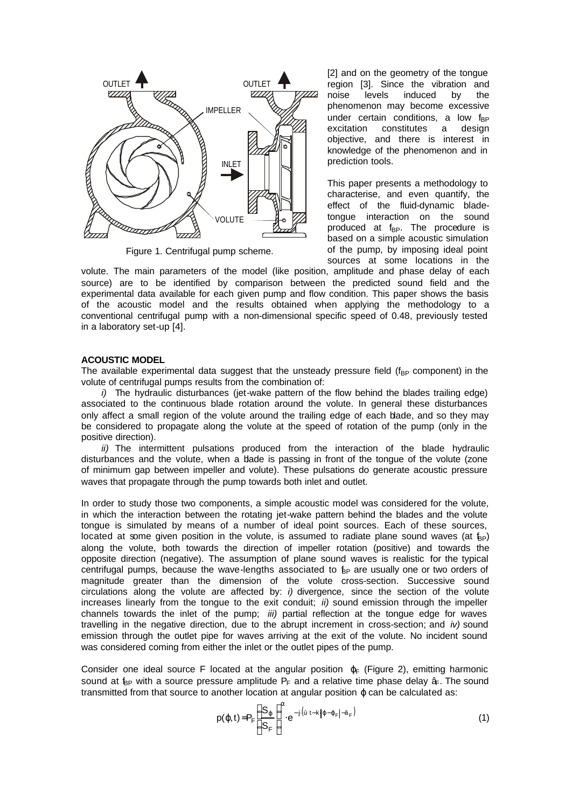

Figure 1. Centrifugal pump scheme.

[2] and on the geometry of the tongue region [3]. Since the vibration and noise levels induced by the phenomenon may become excessive under certain conditions, a low  $f_{BP}$ excitation constitutes a design objective, and there is interest in knowledge of the phenomenon and in prediction tools.

This paper presents a methodology to characterise, and even quantify, the effect of the fluid-dynamic bladetongue interaction on the sound produced at  $f_{BP}$ . The procedure is based on a simple acoustic simulation of the pump, by imposing ideal point sources at some locations in the

volute. The main parameters of the model (like position, amplitude and phase delay of each source) are to be identified by comparison between the predicted sound field and the experimental data available for each given pump and flow condition. This paper shows the basis of the acoustic model and the results obtained when applying the methodology to a conventional centrifugal pump with a non-dimensional specific speed of 0.48, previously tested in a laboratory set-up [4].

#### **ACOUSTIC MODEL**

The available experimental data suggest that the unsteady pressure field ( $f_{BP}$  component) in the volute of centrifugal pumps results from the combination of:

*i*) The hydraulic disturbances (jet-wake pattern of the flow behind the blades trailing edge) associated to the continuous blade rotation around the volute. In general these disturbances only affect a small region of the volute around the trailing edge of each blade, and so they may be considered to propagate along the volute at the speed of rotation of the pump (only in the positive direction).

*ii)* The intermittent pulsations produced from the interaction of the blade hydraulic disturbances and the volute, when a blade is passing in front of the tongue of the volute (zone of minimum gap between impeller and volute). These pulsations do generate acoustic pressure waves that propagate through the pump towards both inlet and outlet.

In order to study those two components, a simple acoustic model was considered for the volute, in which the interaction between the rotating jet-wake pattern behind the blades and the volute tongue is simulated by means of a number of ideal point sources. Each of these sources, located at some given position in the volute, is assumed to radiate plane sound waves (at  $f_{\text{BP}}$ ) along the volute, both towards the direction of impeller rotation (positive) and towards the opposite direction (negative). The assumption of plane sound waves is realistic for the typical centrifugal pumps, because the wave-lengths associated to  $_{\text{BP}}$  are usually one or two orders of magnitude greater than the dimension of the volute cross-section. Successive sound circulations along the volute are affected by: *i)* divergence, since the section of the volute increases linearly from the tongue to the exit conduit; *ii)* sound emission through the impeller channels towards the inlet of the pump; *iii)* partial reflection at the tongue edge for waves travelling in the negative direction, due to the abrupt increment in cross-section; and *iv)* sound emission through the outlet pipe for waves arriving at the exit of the volute. No incident sound was considered coming from either the inlet or the outlet pipes of the pump.

Consider one ideal source F located at the angular position  $\varphi_F$  (Figure 2), emitting harmonic sound at  $f_{BP}$  with a source pressure amplitude  $P_F$  and a relative time phase delay  $\hat{a}$ . The sound transmitted from that source to another location at angular position  $\varphi$  can be calculated as:

$$
p(\varphi, t) = P_F \left( \frac{S_{\varphi}}{S_F} \right)^{\alpha} \cdot e^{-j \left( \dot{u} \, t - k \left| \varphi - \varphi_F \right| - \hat{a}_F \right)} \tag{1}
$$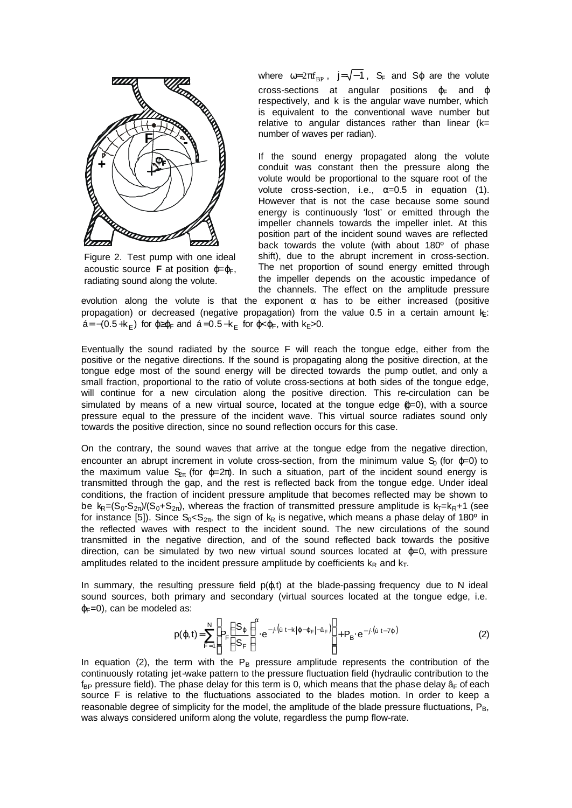

Figure 2. Test pump with one ideal acoustic source **F** at position  $ω=ω<sub>F</sub>$ . radiating sound along the volute.

where  $\omega=2\pi f_{\rm BP}$ , j= $\sqrt{-1}$ , S<sub>F</sub> and S<sub>φ</sub> are the volute cross-sections at angular positions  $\varphi_F$  and  $\varphi$ respectively, and k is the angular wave number, which is equivalent to the conventional wave number but relative to angular distances rather than linear  $(k=$ number of waves per radian).

If the sound energy propagated along the volute conduit was constant then the pressure along the volute would be proportional to the square root of the volute cross-section, i.e.,  $\alpha=0.5$  in equation (1). However that is not the case because some sound energy is continuously 'lost' or emitted through the impeller channels towards the impeller inlet. At this position part of the incident sound waves are reflected back towards the volute (with about 180º of phase shift), due to the abrupt increment in cross-section. The net proportion of sound energy emitted through the impeller depends on the acoustic impedance of the channels. The effect on the amplitude pressure

evolution along the volute is that the exponent  $\alpha$  has to be either increased (positive propagation) or decreased (negative propagation) from the value 0.5 in a certain amount  $k$ : á=−(0.5+k<sub>E</sub>) for φ≥φ<sub>F</sub> and á=0.5−k<sub>E</sub> for φ<φ<sub>F</sub>, with k<sub>E</sub>>0.

Eventually the sound radiated by the source F will reach the tongue edge, either from the positive or the negative directions. If the sound is propagating along the positive direction, at the tongue edge most of the sound energy will be directed towards the pump outlet, and only a small fraction, proportional to the ratio of volute cross-sections at both sides of the tongue edge, will continue for a new circulation along the positive direction. This re-circulation can be simulated by means of a new virtual source, located at the tongue edge  $(p=0)$ , with a source pressure equal to the pressure of the incident wave. This virtual source radiates sound only towards the positive direction, since no sound reflection occurs for this case.

On the contrary, the sound waves that arrive at the tongue edge from the negative direction, encounter an abrupt increment in volute cross-section, from the minimum value  $S<sub>0</sub>$  (for  $\omega=0$ ) to the maximum value  $S_{2\pi}$  (for  $\varphi=2\pi$ ). In such a situation, part of the incident sound energy is transmitted through the gap, and the rest is reflected back from the tongue edge. Under ideal conditions, the fraction of incident pressure amplitude that becomes reflected may be shown to be  $k_R=(S_0-S_{2\pi})/(S_0+S_{2\pi})$ , whereas the fraction of transmitted pressure amplitude is  $k_T=k_R+1$  (see for instance [5]). Since  $S_0 < S_{2\pi}$ , the sign of  $k_R$  is negative, which means a phase delay of 180<sup>o</sup> in the reflected waves with respect to the incident sound. The new circulations of the sound transmitted in the negative direction, and of the sound reflected back towards the positive direction, can be simulated by two new virtual sound sources located at  $φ=0$ , with pressure amplitudes related to the incident pressure amplitude by coefficients  $k_R$  and  $k_T$ .

In summary, the resulting pressure field  $p(\varphi, t)$  at the blade-passing frequency due to N ideal sound sources, both primary and secondary (virtual sources located at the tongue edge, i.e.  $\varphi_F=0$ ), can be modeled as:

$$
p(\varphi, t) = \sum_{F=1}^{N} \left[ P_F \left( \frac{S_{\varphi}}{S_F} \right)^{\alpha} e^{-j \left( \dot{u} t - k \left\{ \varphi - \varphi_F \right\} - \hat{a}_F \right)} \right] + P_B \cdot e^{-j \left( \dot{u} t - 7\varphi \right)} \tag{2}
$$

In equation (2), the term with the  $P_B$  pressure amplitude represents the contribution of the continuously rotating jet-wake pattern to the pressure fluctuation field (hydraulic contribution to the  $f_{BP}$  pressure field). The phase delay for this term is 0, which means that the phase delay  $\hat{a}_F$  of each source F is relative to the fluctuations associated to the blades motion. In order to keep a reasonable degree of simplicity for the model, the amplitude of the blade pressure fluctuations,  $P_B$ , was always considered uniform along the volute, regardless the pump flow-rate.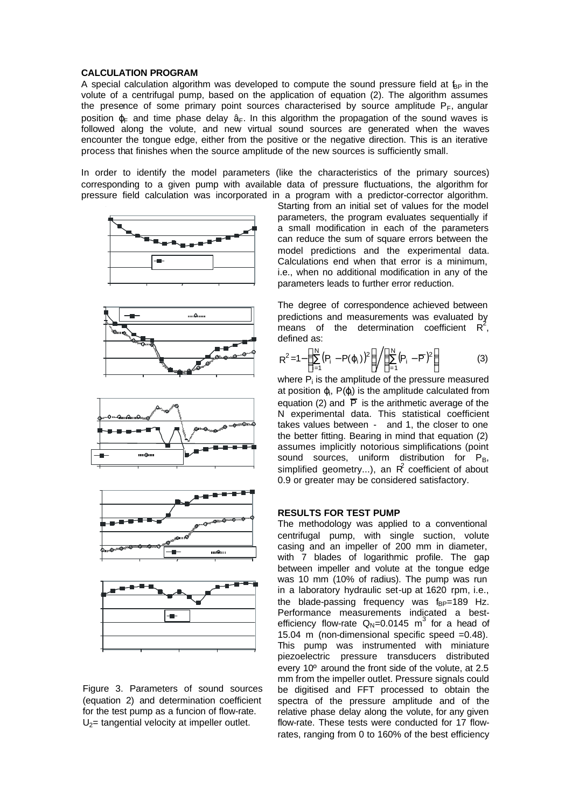#### **CALCULATION PROGRAM**

A special calculation algorithm was developed to compute the sound pressure field at  $f_{BP}$  in the volute of a centrifugal pump, based on the application of equation (2). The algorithm assumes the presence of some primary point sources characterised by source amplitude  $P_F$ , angular position  $\varphi$ <sub>F</sub> and time phase delay  $\hat{a}_F$ . In this algorithm the propagation of the sound waves is followed along the volute, and new virtual sound sources are generated when the waves encounter the tongue edge, either from the positive or the negative direction. This is an iterative process that finishes when the source amplitude of the new sources is sufficiently small.

In order to identify the model parameters (like the characteristics of the primary sources) corresponding to a given pump with available data of pressure fluctuations, the algorithm for pressure field calculation was incorporated in a program with a predictor-corrector algorithm.













Starting from an initial set of values for the model parameters, the program evaluates sequentially if a small modification in each of the parameters can reduce the sum of square errors between the model predictions and the experimental data. Calculations end when that error is a minimum, i.e., when no additional modification in any of the parameters leads to further error reduction.

The degree of correspondence achieved between predictions and measurements was evaluated by means of the determination coefficient  $R^2$ , defined as:

$$
R^{2}=1-\left(\sum_{i=1}^{N}(P_{i}-P(\varphi_{i}))^{2}\right)\bigg/\left(\sum_{i=1}^{N}(P_{i}-\overline{P})^{2}\right)
$$
(3)

where  $P_i$  is the amplitude of the pressure measured at position  $\varphi$ , P( $\varphi$ ) is the amplitude calculated from equation (2) and  $\overline{P}$  is the arithmetic average of the N experimental data. This statistical coefficient takes values between - and 1, the closer to one the better fitting. Bearing in mind that equation (2) assumes implicitly notorious simplifications (point sound sources, uniform distribution for  $P_B$ , simplified geometry...), an  $R^2$  coefficient of about 0.9 or greater may be considered satisfactory.

#### **RESULTS FOR TEST PUMP**

The methodology was applied to a conventional centrifugal pump, with single suction, volute casing and an impeller of 200 mm in diameter, with 7 blades of logarithmic profile. The gap between impeller and volute at the tongue edge was 10 mm (10% of radius). The pump was run in a laboratory hydraulic set-up at 1620 rpm, i.e., the blade-passing frequency was  $f_{BP}=189$  Hz. Performance measurements indicated a bestefficiency flow-rate  $Q_N = 0.0145$  m<sup>3</sup> for a head of 15.04 m (non-dimensional specific speed =0.48). This pump was instrumented with miniature piezoelectric pressure transducers distributed every 10º around the front side of the volute, at 2.5 mm from the impeller outlet. Pressure signals could be digitised and FFT processed to obtain the spectra of the pressure amplitude and of the relative phase delay along the volute, for any given flow-rate. These tests were conducted for 17 flowrates, ranging from 0 to 160% of the best efficiency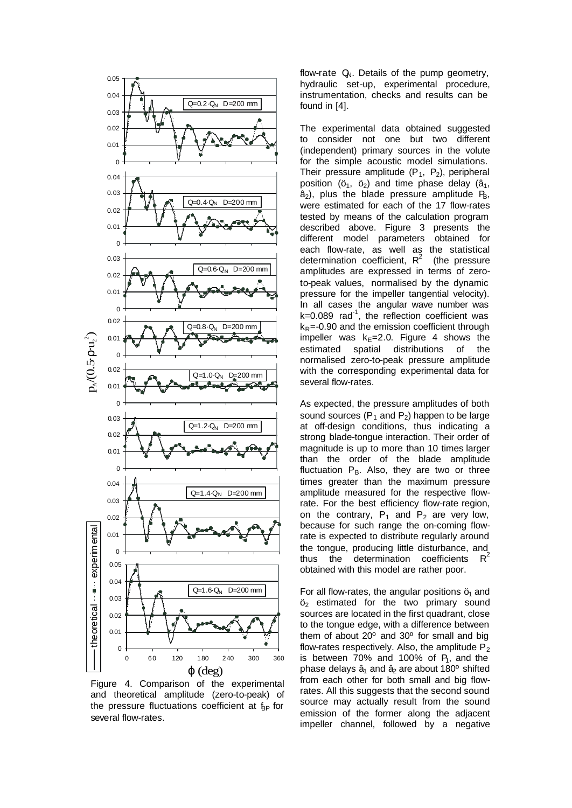

Figure 4. Comparison of the experimental and theoretical amplitude (zero-to-peak) of the pressure fluctuations coefficient at  $f_{\text{BP}}$  for several flow-rates.

flow-rate  $Q_N$ . Details of the pump geometry, hydraulic set-up, experimental procedure, instrumentation, checks and results can be found in [4].

The experimental data obtained suggested to consider not one but two different (independent) primary sources in the volute for the simple acoustic model simulations. Their pressure amplitude  $(P_1, P_2)$ , peripheral position ( $\ddot{o}_1$ ,  $\ddot{o}_2$ ) and time phase delay ( $\hat{a}_1$ ,  $\hat{a}_2$ ), plus the blade pressure amplitude  $P_B$ , were estimated for each of the 17 flow-rates tested by means of the calculation program described above. Figure 3 presents the different model parameters obtained for each flow-rate, as well as the statistical determination coefficient,  $R^2$ (the pressure amplitudes are expressed in terms of zeroto-peak values, normalised by the dynamic pressure for the impeller tangential velocity). In all cases the angular wave number was  $k=0.089$  rad<sup>-1</sup>, the reflection coefficient was  $k_R$ =-0.90 and the emission coefficient through impeller was  $k<sub>E</sub>=2.0$ . Figure 4 shows the estimated spatial distributions of the normalised zero-to-peak pressure amplitude with the corresponding experimental data for several flow-rates.

As expected, the pressure amplitudes of both sound sources  $(P_1$  and  $P_2$ ) happen to be large at off-design conditions, thus indicating a strong blade-tongue interaction. Their order of magnitude is up to more than 10 times larger than the order of the blade amplitude fluctuation  $P_B$ . Also, they are two or three times greater than the maximum pressure amplitude measured for the respective flowrate. For the best efficiency flow-rate region, on the contrary,  $P_1$  and  $P_2$  are very low, because for such range the on-coming flowrate is expected to distribute regularly around the tongue, producing little disturbance, and thus the determination coefficients  $R^2$ obtained with this model are rather poor.

For all flow-rates, the angular positions  $\ddot{o}_1$  and  $\ddot{o}_2$  estimated for the two primary sound sources are located in the first quadrant, close to the tongue edge, with a difference between them of about 20º and 30º for small and big flow-rates respectively. Also, the amplitude  $P_2$ is between  $70\%$  and 100% of  $P_1$ , and the phase delays  $\hat{a}_1$  and  $\hat{a}_2$  are about 180 $\textdegree$  shifted from each other for both small and big flowrates. All this suggests that the second sound source may actually result from the sound emission of the former along the adjacent impeller channel, followed by a negative